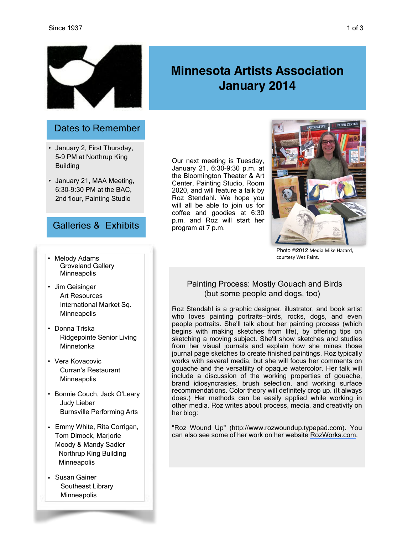

### Dates to Remember

- January 2, First Thursday, 5-9 PM at Northrup King **Building**
- January 21, MAA Meeting, 6:30-9:30 PM at the BAC, 2nd flour, Painting Studio

# Galleries & Exhibits

- Melody Adams Groveland Gallery **Minneapolis**
- Jim Geisinger Art Resources International Market Sq. **Minneapolis**
- Donna Triska Ridgepointe Senior Living Minnetonka
- Vera Kovacovic Curran's Restaurant **Minneapolis**
- Bonnie Couch, Jack O'Leary Judy Lieber Burnsville Performing Arts
- Emmy White, Rita Corrigan, Tom Dimock, Marjorie Moody & Mandy Sadler Northrup King Building **Minneapolis**
- Susan Gainer Southeast Library **Minneapolis**

Our next meeting is Tuesday, January 21, 6:30-9:30 p.m. at the Bloomington Theater & Art Center, Painting Studio, Room 2020, and will feature a talk by Roz Stendahl. We hope you will all be able to join us for coffee and goodies at 6:30 p.m. and Roz will start her program at 7 p.m.



Photo ©2012 Media Mike Hazard. courtesy Wet Paint.

#### Painting Process: Mostly Gouach and Birds (but some people and dogs, too)

Roz Stendahl is a graphic designer, illustrator, and book artist who loves painting portraits—birds, rocks, dogs, and even people portraits. She'll talk about her painting process (which begins with making sketches from life), by offering tips on sketching a moving subject. She'll show sketches and studies from her visual journals and explain how she mines those journal page sketches to create finished paintings. Roz typically works with several media, but she will focus her comments on gouache and the versatility of opaque watercolor. Her talk will include a discussion of the working properties of gouache, brand idiosyncrasies, brush selection, and working surface recommendations. Color theory will definitely crop up. (It always does.) Her methods can be easily applied while working in other media. Roz writes about process, media, and creativity on her blog:

"Roz Wound Up" ([http://www.rozwoundup.typepad.com\)](http://www.rozwoundup.typepad.com/). You can also see some of her work on her website [RozWorks.com.](http://rozworks.com/)

# **Minnesota Artists Association January 2014**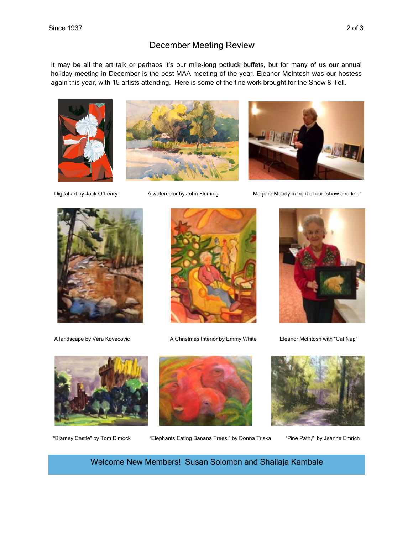### December Meeting Review

It may be all the art talk or perhaps it's our mile-long potluck buffets, but for many of us our annual holiday meeting in December is the best MAA meeting of the year. Eleanor McIntosh was our hostess again this year, with 15 artists attending. Here is some of the fine work brought for the Show & Tell.





Digital art by Jack O"Leary A watercolor by John Fleming Marjorie Moody in front of our "show and tell."





A landscape by Vera Kovacovic **A Christmas Interior by Emmy White** Eleanor McIntosh with "Cat Nap" A Christmas Interior by Emmy White







"Blarney Castle" by Tom Dimock "Elephants Eating Banana Trees." by Donna Triska "Pine Path," by Jeanne Emrich



Welcome New Members! Susan Solomon and Shailaja Kambale